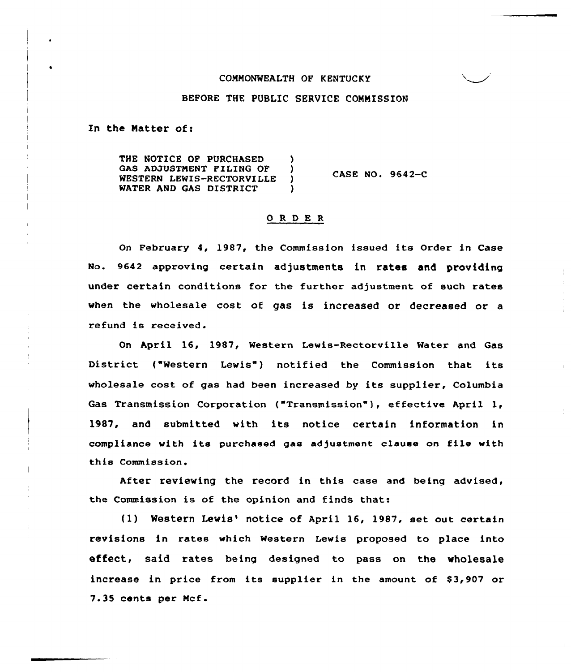#### COMMONWEALTH OF KENTUCKY

### BEFORE THE PUBLIC SERVICE COMMISSION

In the Matter of:

THE NOTICE OF PURCHASED (3)<br>GAS ADJUSTMENT FILING OF (3) GAS ADJUSTMENT FILING OF )<br>WESTERN LEWIS-RECTORVILLE ) WESTERN LEWIS-RECTORVILLE )<br>WATER AND GAS DISTRICT ) WATER AND GAS DISTRICT CASE NO. 9642-C

### 0 R <sup>D</sup> E <sup>R</sup>

On February 4, 1987, the Commission issued its Order in Case No. 9642 approving certain adjustments in rates and providing under certain conditions for the further adjustment of such rates when the wholesale cost of gas is increased or decreased or a refund is received.

On April 16, 1987, Western Lewis-Rectorville Water and Gas District ("Western Lewis") notified the Commission that its wholesale cost of gas had been increased by its supplier, Columbia Gas Transmission Corporation ("Transmission"), effective April 1, 1987, and submitted with its notice certain information in compliance with its purchased gas adjustment clause on file with this Commission.

After reviewing the record in this case and being advised, the Commission is of the opinion and finds that:

(1) Western Lewis' notice of April 16, 1987, set out certain revisions in rates which Western Lewis proposed to place into effect, said rates being designed to pass on the wholesale increase in price from its supplier in the amount of \$3,907 or 7.35 cents per Mcf.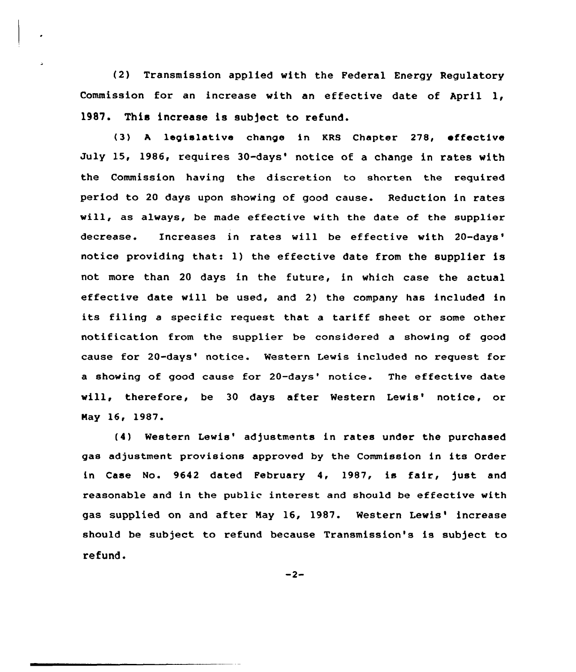(2) Transmission applied with the Federal Energy Regulatory Commission for an increase with an effective date of April 1, 1987. This increase is subject to refund.

(3) <sup>A</sup> legislative change in KRS Chapter 278, effective July 15, 1986, requires 30-days' notice of a change in rates with the Commission having the discretion to shorten the required period to 20 days upon showing of good cause. Reduction in rates will, as always, be made effective with the date of the supplier decrease. Increases in rates will be effective with 20-days' notice providing that: 1) the effective date from the supplier is not moxe than 20 days in the future, in which case the actual effective date will be used, and 2) the company has included in its filing a specific request that a tariff sheet or some other notification from the supplier be considered a showing of good cause for 20-days' notice. Western Lewis included no request for a showing of good cause for 20-days' notice. The effective date will, therefore, be 30 days after Western Lewis' notice, or Nay 16~ 1987.

(4) Western Lewis' adjustments in rates under the purchased gas adjustment provisions approved by the Commission in its Order in Case No. 9642 dated February 4, 1987, is fair, just and reasonable and in the public interest and should be effective with gas supplied on and after May 16, 1987. Western Lewis' increase should be subject to refund because Transmission's is subject to refund.

 $-2-$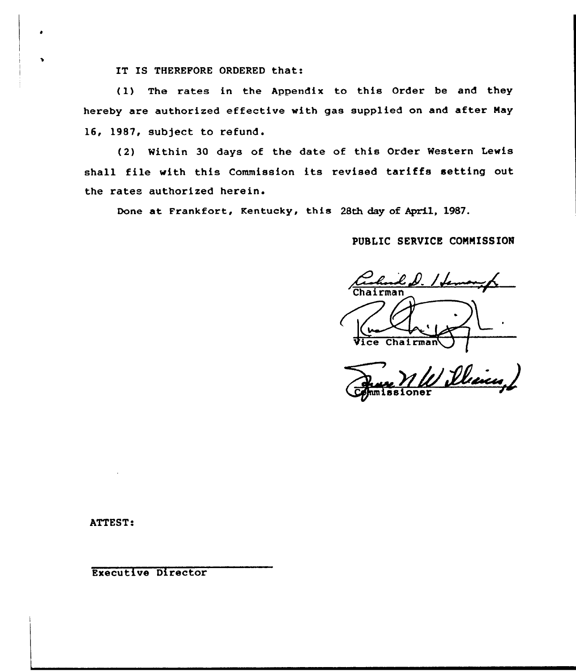IT IS THEREFORE ORDERED that:

(1) The rates in the Appendix to this Order be and they hereby are authorized effective with gas supplied on and after May 16, 1987, subject to refund.

(2) Within 30 days of the date of this Order Western Lewis shall file with this Commission its revised tariffs setting out the rates authorized

Done at Frankfort, Kentucky, this 28th day of April, 1987.

# PUBLIC SERVICE CONHISSION

had D. I fen  $Chalrma$ 

1 Dhein ssioner

ATTEST:

Executive Director